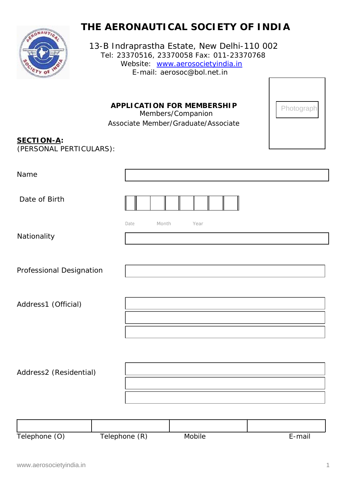# **THE AERONAUTICAL SOCIETY OF INDIA**



13-B Indraprastha Estate, New Delhi-110 002 Tel: 23370516, 23370058 Fax: 011-23370768 Website: www.aerosocietyindia.in E-mail: aerosoc@bol.net.in

**APPLICATION FOR MEMBERSHIP**<br>Members/Companion

Associate Member/Graduate/Associate

| Photograph |
|------------|
|            |
|            |

### *SECTION-A:*

*(PERSONAL PERTICULARS):*

| Name                     |               |               |        |
|--------------------------|---------------|---------------|--------|
| Date of Birth            |               |               |        |
| Nationality              | Date          | Month<br>Year |        |
| Professional Designation |               |               |        |
| Address1 (Official)      |               |               |        |
| Address2 (Residential)   |               |               |        |
|                          |               |               |        |
| Telephone (O)            | Telephone (R) | Mobile        | E-mail |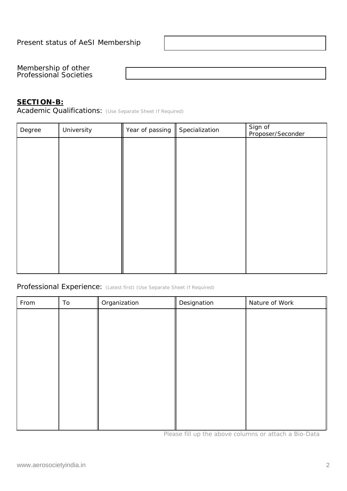Membership of other Professional Societies

#### *SECTION-B:*

*Academic Qualifications: (Use Separate Sheet If Required)*

| Sign of<br>Proposer/Seconder |  |
|------------------------------|--|
|                              |  |
|                              |  |
|                              |  |
|                              |  |
|                              |  |
|                              |  |
|                              |  |
|                              |  |
|                              |  |
|                              |  |

*Professional Experience: (Latest first) (Use Separate Sheet If Required)*

| From | To | Organization | Designation | Nature of Work |  |
|------|----|--------------|-------------|----------------|--|
|      |    |              |             |                |  |
|      |    |              |             |                |  |
|      |    |              |             |                |  |
|      |    |              |             |                |  |
|      |    |              |             |                |  |
|      |    |              |             |                |  |
|      |    |              |             |                |  |
|      |    |              |             |                |  |
|      |    |              |             |                |  |
|      |    |              |             |                |  |

*Please fill up the above columns or attach a Bio-Data*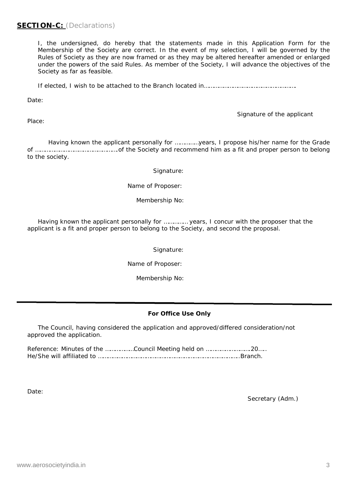### *SECTION-C: (Declarations)*

I, the undersigned, do hereby that the statements made in this Application Form for the Membership of the Society are correct. In the event of my selection, I will be governed by the Rules of Society as they are now framed or as they may be altered hereafter amended or enlarged under the powers of the said Rules. As member of the Society, I will advance the objectives of the Society as far as feasible.

If elected, I wish to be attached to the Branch located in………………………………………………….

Date:

Place:

*Signature of the applicant*

Having known the applicant personally for ……………years, I propose his/her name for the Grade of …………………………………………….of the Society and recommend him as a fit and proper person to belong to the society.

Signature:

Name of Proposer:

Membership No:

Having known the applicant personally for …………… years, I concur with the proposer that the applicant is a fit and proper person to belong to the Society, and second the proposal.

Signature:

Name of Proposer:

Membership No:

#### **For Office Use Only**

The Council, having considered the application and approved/differed consideration/not approved the application.

Reference: Minutes of the ………………Council Meeting held on ……………………….20….. He/She will affiliated to ……………………………………………………………………………..Branch.

Date:

Secretary (Adm.)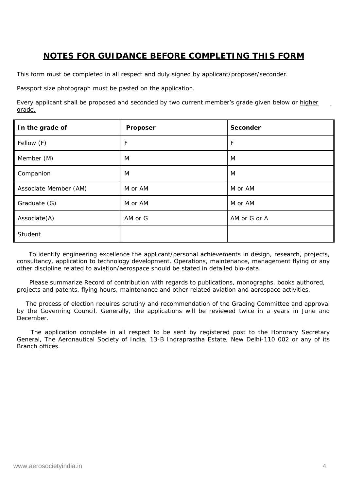## **NOTES FOR GUIDANCE BEFORE COMPLETING THIS FORM**

This form must be completed in all respect and duly signed by applicant/proposer/seconder.

Passport size photograph must be pasted on the application.

Every applicant shall be proposed and seconded by two current member's grade given below or *higher grade.*

| In the grade of       | Proposer | Seconder     |
|-----------------------|----------|--------------|
| Fellow (F)            | F        | F            |
| Member (M)            | M        | M            |
| Companion             | M        | M            |
| Associate Member (AM) | M or AM  | M or AM      |
| Graduate (G)          | M or AM  | M or AM      |
| Associate(A)          | AM or G  | AM or G or A |
| Student               |          |              |

To identify engineering excellence the applicant/personal achievements in design, research, projects, consultancy, application to technology development. Operations, maintenance, management flying or any other discipline related to aviation/aerospace should be stated in detailed bio-data.

Please summarize Record of contribution with regards to publications, monographs, books authored, projects and patents, flying hours, maintenance and other related aviation and aerospace activities.

The process of election requires scrutiny and recommendation of the Grading Committee and approval by the Governing Council. Generally, the applications will be reviewed twice in a years in June and December.

The application complete in all respect to be sent by registered post to the Honorary Secretary General, The Aeronautical Society of India, 13-B Indraprastha Estate, New Delhi-110 002 or any of its Branch offices.